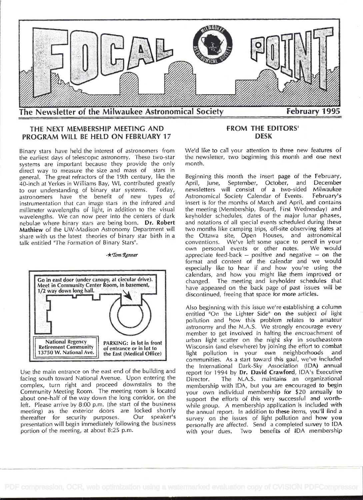

# THE NEXT MEMBERSHIP MEETING AND PROGRAM WILL BE HELD ON FEBRUARY 17

Binary stars have held the interest of astronomers from the eariiest days of telescopic astronomy. These two-star systems are important because they provide the only direct way to measure the size and mass of stars in general. The great refractors of the 19th century, like the 40-inch at Yerkes in Williams Bay, WI, contributed greatly to our understanding of binary star systems. Today,<br>astronomers have the benefit of new types of astronomers have the benefit of new types instrumentation that can image stars in the infrared and millimeter wavelengths of light, in addition to the visual wavelengths. We can now peer into the centers of dark nebulae where binary stars are being born. Dr. Robert Mathiew of the UW-Madison Astronomy Department will share with us the latest theories of binary star birth in a talk entitled "The Formation of Binary Stars".

 $-\star$ Tom Renner



Use the main entrance on the east end of the building and facing south toward National Avenue. Upon entering the Director. complex, turn right and proceed downstairs to the Community Meeting Room. The meeting room is located about one-half of the way down the long corridor, on the left. Please arrive by 8:00 p.m. (the start of the business meeting) as the exterior doors are locked shortly<br>thereafter for security purposes. Our speaker's thereafter for security purposes. presentation will begin immediately following the business portion of the meeting, at about 8:25 p.m.

# FROM THE EDITORS' DESK

We'd like to call your attention to three new features of the newsletter, two beginning this month and one next month.

Beginning this month the insert page of the February, April, June, September, October, and December newsletters will consist of a two-sided Milwaukee<br>Astronomical Society Calendar of Events. February's Astronomical Society Calendar of Events. insert is for the months of March and April, and contains the meeting (Membership, Board, First Wednesday) and keyholder schedules, dates of the major lunar phases, and notations of all special events scheduled during these two months like camping trips, off-site observing dates at the Ottawa site, Open Houses, and astronomical conventions. We've left some space to pencil in your own personal events or other notes. We would appreciate feed-back - positive and negative -- on the format and content of the calendar and we would especially like to hear if and how you're using the calendars, and how you might like them improved or changed. The meeting and keyholder schedules that have appeared on the back page of past issues will be discontinued, freeing that space for more articles.

Also beginning with this issue we're establishing a column entitled "On the Lighter Side" on the subject of light pollution and how this problem relates to amateur astronomy and the M.A.S. We strongly encourage every member to get involved in halting the encroachment of urban light scatter on the night sky in southeastern Wisconsin (and elsewhere) by joining the effort to combat light pollution in your own neighborhoods and communities. As a start toward this goal, we've included the International Dark-Sky Association (IDA) annual report for 1994 by Dr. David Crawford, IDA's Executive The M.A.S. maintains an organizational membership with IDA, but you are encouraged to begin your own individual membership for \$20 annually to support the efforts of this very successful and worthwhile group. A membership application is included with the annual report. In addition to these items, you'll find <sup>a</sup>survey on the issues of light pollution and how you personally are affected. Send a completed survey to IDA with your dues. Two benefits of IDA membership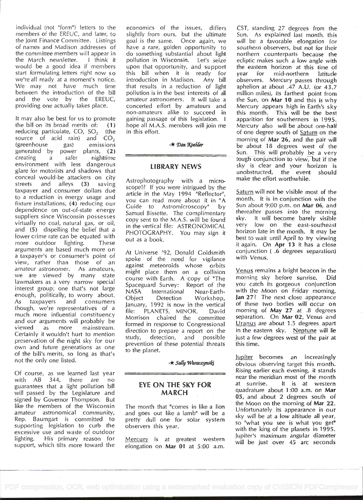individual (not "form') letters to the members of the EREUC, and later, to the Joint Finance Committee. Listings of names and Madison addresses of the committee members will appear in the March newsletter. I think it would be a good idea if members start formulating letters right now so we're all ready at a moment's notice. We may not have much time between the introduction of the bill and the vote by the EREUC, providing one actually takes place.

It may also be best for us to promote the bill on its broad merits of: (1) reducing particulate,  $CO$ ,  $SO<sub>2</sub>$  (the source of acid rain) and  $CO<sub>2</sub>$ (greenhouse gas) emissions generated by power plants, (2) creating a safer nighttime environment with less dangerous glare for motorists and shadows that conceal would-be attackers on city streets and alleys (3) saving taxpayer and consumer dollars due to a reduction in energy usage and fixture installations, (4) reducing our dependence on out-of-state energy suppliers since Wisconsin possesses virtually no coal, natural gas, or oil, and (5) dispelling the belief that a lower crime rate can be equated with more outdoor lighting. These arguments are based much more on <sup>a</sup>taxpayer's or consumer's point of view, rather than those of an amateur astronomer. As amateurs, we are viewed by many state lawmakers as a very narrow special interest group; one that's not large NASA enough, politically, to worry about. Object As taxpayers and consumers though, we're representatives of a much more influential constituency that and our arguments will probably be viewed as more mainstream. Certainly it wouldn't hurt to mention study, preservation of the night sky for our own and future generations as one of the bill's merits, so long as that's not the only one listed.

Of course, as we learned last year<br>with AB 344, there are no AB 344, there are no guarantees that a light pollution bill will passed by the Legislature and signed by Governor Thompson. But like the members of the Wisconsin amateur astronomical community, Rep. Baumgart is committed to supporting legislation to curb the excessive use and waste of outdoor lighting. His primary reason for support, which tilts more toward the

economics of the issues, differs slightly from ours, but the ultimate goal is the same. Once again, we have a rare, golden opportunity to do something substantial about light pollution in Wisconsin. Let's seize upon that opportunity, and support this bill when it is ready for year introduction in Madison. Any bill that results in a reduction of light pollution is in the best interests of all amateur astronomers. lt will take a concerted effort by amateurs and non-amateurs alike to succeed in gaining passage of this legislation. I hope all M.A.S. members will join me in this effort.

 $\star$  Dan Koehler

## LiBRARY NEWS

Astrophotography with a microscope!? If you were intrigued by the article in the May 1994 'Reflector", you can read more about it in "A Guide to Astromicroscopy" by Samuel Bissette. The complimentary copy sent to the M.A.S. will be found  $sky$ .<br>in the vertical file:  $ASTPONOMCAI$  very in the vertical file: ASTRONOMICAL PHOTOGRAPHY. You may sign it out as a book.

At Universe '92, Donald Goldsmith spoke of the need for vigilance against meteoroids whose orbits might place them on a collision course with Earth. A copy of "The Spaceguard Survey: Report of the International Near-Earth-Detection Workshop, January, 1 992 is now in the vertical PLANETS, MINOR. David Morrison chaired the committee formed in response to Congressional direction to prepare a report on the detection, and possible prevention of these potential threats to the planet.

-\* Sally Waraczynski

## EYE ON THE SKY FOR at sunrise. MARCH

The month that "comes in like a lion and goes out like a lamb" will be a pretty dull one for solar system observers this year.

Mercury is at greatest western elongation on Mar 01 at 5:00 a.m.

CST, standing 27 degrees from the Sun. As explained last month, this will be a favorable elongation for southern observers, but not for their northern counterparts because the ecliptic makes such a low angle with the eastern horizon at this time of<br>vear for mid-northern latitude mid-northern latitude observers. Mercury passes through aphelion at about .47 A.U. (or 43.7 million miles), its farthest point from the Sun, on Mar 10 and this is why Mercury appears high in Earth's sky this month. This will be the best apparition for southerners in 1995. Mercury also will be about one-half of one degree south of Saturn on the morning of Mar 26, and the pair will be about 18 degrees west of the Sun. This will probably be a very tough conjunction to view, but if the sky is clear and your horizon is unobstructed, the event should make the effort worthwhile.

Saturn will not be visible most of the month. It is in conjunction with the Sun about 9:00 p.m. on Mar 06, and thereafter passes into the morning sky. lt will become barely visible low on the east-southeast horizon late in the month. It may be best to wait until April to try viewing it again. On Apr 13 it has a close conjunction ( .6 degrees separation) with Venus.

Venus remains a bright beacon in the morning sky before sunrise. Did you catch its gorgeous conjunction with the Moon on Friday morning, Jan 27? The next close appearance of these two bodies will occur on morning of May 27 at .8 degrees separation. On Mar 02, Venus and Uranus are about 1.5 degrees apart in the eastern sky. Neptune will lie just a few degrees west of the pair at this time.

jupiter becomes an increasingly obvious observing target this month. Rising earlier each evening, it stands near the meridian most of the month It is at western quadrature about 1:00 a.m. on Mar 05, and about 2 degrees south of the Moon on the morning of Mar 22. Unfortunately its appearance in our sky will be at a low altitude all year, so "what you see is what you get" with the king of the planets in 1995. Jupiter's maximum angular diameter will be just over 45 arc seconds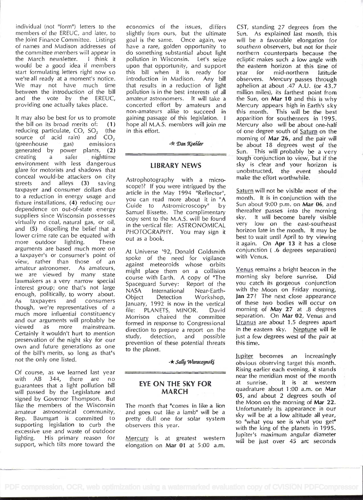individual (not 'form') letters to the members of the EREUC, and later, to the Joint Finance Committee. Listings of names and Madison addresses of the committee members will appear in the March newsletter. I think it would be a good idea if members start formulating letters right now so we're all ready at a moment's notice. We may not have much time between the introduction of the bill and the vote by the EREUC, providing one actually takes place.

It may also be best for us to promote the bill on its broad merits of:  $(1)$ reducing particulate,  $CO$ ,  $SO<sub>2</sub>$  (the source of acid rain) and  $CO<sub>2</sub>$ (greenhouse gas) emissions generated by power plants, (2) creating a safer nighttime environment with less dangerous glare for motorists and shadows that conceal would-be attackers on city streets and alleys (3) saving taxpayer and consumer dollars due to a reduction in energy usage and fixture installations, (4) reducing our dependence on out-of-state energy suppliers since Wisconsin possesses virtually no coal, natural gas, or oil, and (5) dispelling the belief that a lower crime rate can be equated with more outdoor lighting. These arguments are based much more on <sup>a</sup>taxpayer's or consumer's point of view, rather than those of an amateur astronomer. As amateurs, we are viewed by many state lawmakers as a very narrow special interest group; one that's not large Spaces enough, politically, to worry about. Object As taxpayers and consumers though, we're representatives of a model, we re-representatives or a  $file:$  much more influential constituency  $Age:$ and our arguments will probably be viewed as more mainstream. Certainly it wouldn't hurt to mention study, preservation of the night sky for our own and future generations as one of the bill's merits, so long as that's not the only one listed.

Of course, as we learned last year with AB 344, there are no guarantees that a light pollution bill will passed by the Legislature and signed by Governor Thompson. But like the members of the Wisconsin amateur astronomical community, Rep. Baumgart is committed to supporting legislation to curb the excessive use and waste of outdoor lighting. His primary reason for support, which tilts more toward the economics of the issues, differs slightly from ours, but the ultimate goal is the same. Once again, we have a rare, golden opportunity to do something substantial about light pollution in Wisconsin. Let's seize upon that opportunity, and support the eastern<br>this bill when it is ready for year for this bill when it is ready for introduction in Madison. Any bill that results in a reduction of light pollution is in the best interests of all amateur astronomers. It will take a concerted effort by amateurs and non-amateurs alike to succeed in gaining passage of this legislation. I hope all M.A.S. members will join me in this effort.

-\* Dan Koehler

#### LIBRARY NEWS

Astrophotography with a microscope!? If you were intrigued by the article in the May 1994 "Reflector", you can read more about it in "A Guide to Astromicroscopy" by Samuel Bissette. The complimentary copy sent to the M.A.S. will be found in the vertical file: ASTRONOMICAL PHOTOGRAPHY. You may sign it out as a book.

At Universe '92, Donald Goldsmith spoke of the need for vigilance against meteoroids whose orbits might place them on a collision course with Earth. A copy of "The Spaceguard Survey: Report of the International Near-Earth-Detection Workshop. January, 1992 is now in the vertical PLANETS, MINOR. David Morrison chaired the committee formed in response to Congressional direction to prepare a report on the detection, and possible prevention of these potential threats to the planet.

 $-k$  Sally Waraczynski

## EYE ON THE SKY FOR at sunrise. MARCH

The month that "comes in like a lion and goes out like a lamb" will be a pretty dull one for solar system observers this year.

Mercury is at greatest western elongation on Mar 01 at 5:00 a.m.

CST, standing 27 degrees from the Sun. As explained last month, this will be a favorable elongation for southern observers, but not for their northern counterparts because the ecliptic makes such a low angle with the eastern horizon at this time of mid-northern latitude observers. Mercury passes through aphelion at about .47 A.U. (or 43.J million miles), its farthest point from the Sun, on Mar 10 and this is why Mercury appears high in Earth's sky this month. This will be the best apparition for southerners in 1995. Mercury also will be about one-half of one degree south of Saturn on the morning of Mar 26, and the pair will be about 18 degrees west of the Sun. This will probably be a very tough conjunction to view, but if the sky is clear and your horizon is unobstructed, the event should make the effort worthwhile.

Saturn will not be visible most of the month. It is in conjunction with the Sun about 9:00 p.m. on Mar 06, and thereafter passes into the morning sky. lt will become barely visible very low on the east-southeast horizon late in the month. It may be best to wait until April to try viewing it again. On Apr 13 it has a close conjunction ( .6 degrees separation) with Venus.

Venus remains a bright beacon in the morning sky before sunrise. Did you catch its gorgeous conjunction with the Moon on Friday morning, Jan 27? The next close appearance of these two bodies will occur on morning of May 27 at .8 degrees separation. On Mar 02, Venus and Uranus are about 1.5 degrees apart in the eastern sky. Neptune will lie just a few degrees west of the pair at this time.

lupiter becomes an increasingly obvious observing target this month. Rising earlier each evening, it stands near the meridian most of the month It is at western quadrature about 1:00 a.m. on Mar 05, and about 2 degrees south of the Moon on the morning of Mar 22. Unfortunately its appearance in our sky will be at a low altitude all year, so "what you see is what you get" with the king of the planets in 1995. Jupiter's maximum angular diameter will be just over 45 arc seconds